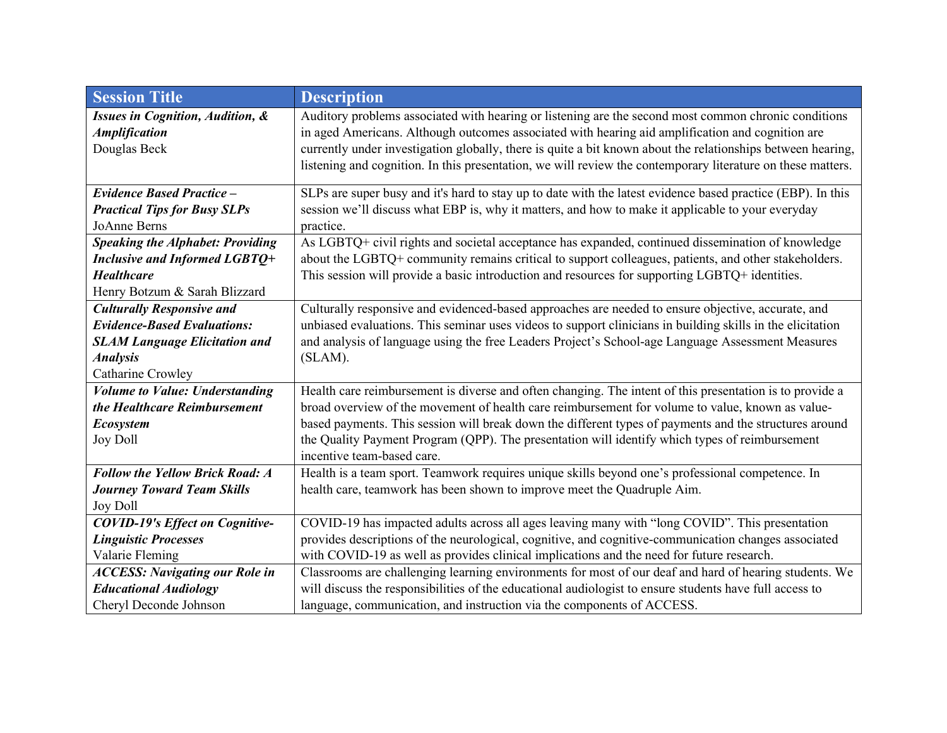| <b>Session Title</b>                        | <b>Description</b>                                                                                          |
|---------------------------------------------|-------------------------------------------------------------------------------------------------------------|
| <b>Issues in Cognition, Audition, &amp;</b> | Auditory problems associated with hearing or listening are the second most common chronic conditions        |
| <b>Amplification</b>                        | in aged Americans. Although outcomes associated with hearing aid amplification and cognition are            |
| Douglas Beck                                | currently under investigation globally, there is quite a bit known about the relationships between hearing, |
|                                             | listening and cognition. In this presentation, we will review the contemporary literature on these matters. |
| <b>Evidence Based Practice -</b>            | SLPs are super busy and it's hard to stay up to date with the latest evidence based practice (EBP). In this |
| <b>Practical Tips for Busy SLPs</b>         | session we'll discuss what EBP is, why it matters, and how to make it applicable to your everyday           |
| JoAnne Berns                                | practice.                                                                                                   |
| <b>Speaking the Alphabet: Providing</b>     | As LGBTQ+ civil rights and societal acceptance has expanded, continued dissemination of knowledge           |
| Inclusive and Informed LGBTQ+               | about the LGBTQ+ community remains critical to support colleagues, patients, and other stakeholders.        |
| <b>Healthcare</b>                           | This session will provide a basic introduction and resources for supporting LGBTQ+ identities.              |
| Henry Botzum & Sarah Blizzard               |                                                                                                             |
| <b>Culturally Responsive and</b>            | Culturally responsive and evidenced-based approaches are needed to ensure objective, accurate, and          |
| <b>Evidence-Based Evaluations:</b>          | unbiased evaluations. This seminar uses videos to support clinicians in building skills in the elicitation  |
| <b>SLAM Language Elicitation and</b>        | and analysis of language using the free Leaders Project's School-age Language Assessment Measures           |
| <b>Analysis</b>                             | $(SLAM)$ .                                                                                                  |
| Catharine Crowley                           |                                                                                                             |
| <b>Volume to Value: Understanding</b>       | Health care reimbursement is diverse and often changing. The intent of this presentation is to provide a    |
| the Healthcare Reimbursement                | broad overview of the movement of health care reimbursement for volume to value, known as value-            |
| <b>Ecosystem</b>                            | based payments. This session will break down the different types of payments and the structures around      |
| <b>Joy Doll</b>                             | the Quality Payment Program (QPP). The presentation will identify which types of reimbursement              |
|                                             | incentive team-based care.                                                                                  |
| <b>Follow the Yellow Brick Road: A</b>      | Health is a team sport. Teamwork requires unique skills beyond one's professional competence. In            |
| <b>Journey Toward Team Skills</b>           | health care, teamwork has been shown to improve meet the Quadruple Aim.                                     |
| <b>Joy Doll</b>                             |                                                                                                             |
| <b>COVID-19's Effect on Cognitive-</b>      | COVID-19 has impacted adults across all ages leaving many with "long COVID". This presentation              |
| <b>Linguistic Processes</b>                 | provides descriptions of the neurological, cognitive, and cognitive-communication changes associated        |
| Valarie Fleming                             | with COVID-19 as well as provides clinical implications and the need for future research.                   |
| <b>ACCESS: Navigating our Role in</b>       | Classrooms are challenging learning environments for most of our deaf and hard of hearing students. We      |
| <b>Educational Audiology</b>                | will discuss the responsibilities of the educational audiologist to ensure students have full access to     |
| Cheryl Deconde Johnson                      | language, communication, and instruction via the components of ACCESS.                                      |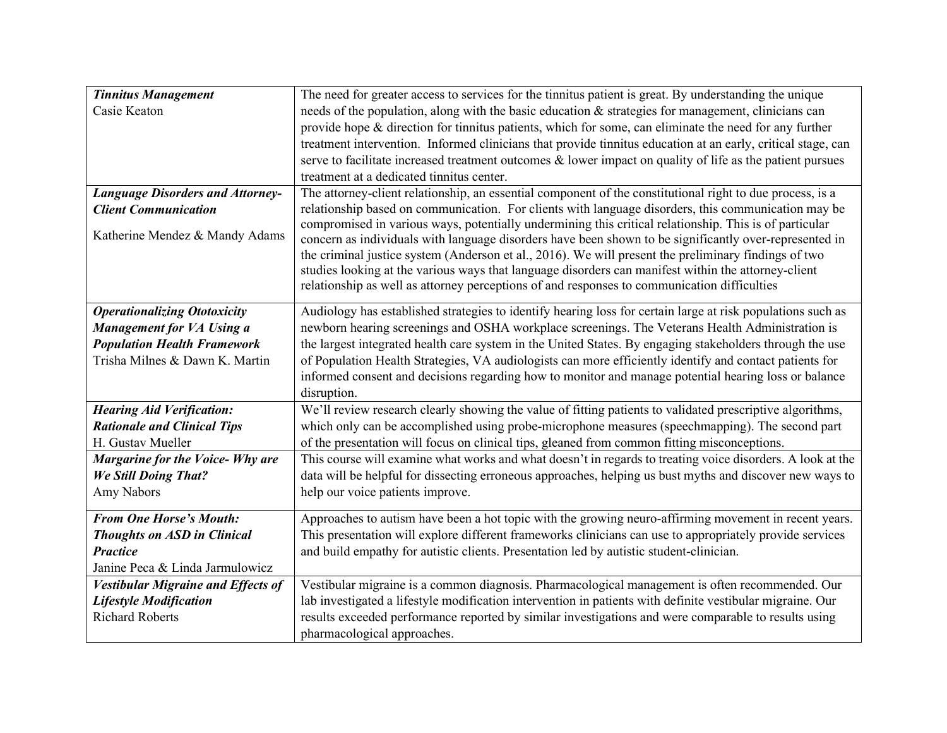| <b>Tinnitus Management</b>                | The need for greater access to services for the tinnitus patient is great. By understanding the unique       |
|-------------------------------------------|--------------------------------------------------------------------------------------------------------------|
| Casie Keaton                              | needs of the population, along with the basic education & strategies for management, clinicians can          |
|                                           | provide hope & direction for tinnitus patients, which for some, can eliminate the need for any further       |
|                                           | treatment intervention. Informed clinicians that provide tinnitus education at an early, critical stage, can |
|                                           | serve to facilitate increased treatment outcomes $\&$ lower impact on quality of life as the patient pursues |
|                                           | treatment at a dedicated tinnitus center.                                                                    |
| <b>Language Disorders and Attorney-</b>   | The attorney-client relationship, an essential component of the constitutional right to due process, is a    |
| <b>Client Communication</b>               | relationship based on communication. For clients with language disorders, this communication may be          |
|                                           | compromised in various ways, potentially undermining this critical relationship. This is of particular       |
| Katherine Mendez & Mandy Adams            | concern as individuals with language disorders have been shown to be significantly over-represented in       |
|                                           | the criminal justice system (Anderson et al., 2016). We will present the preliminary findings of two         |
|                                           | studies looking at the various ways that language disorders can manifest within the attorney-client          |
|                                           | relationship as well as attorney perceptions of and responses to communication difficulties                  |
| <b>Operationalizing Ototoxicity</b>       | Audiology has established strategies to identify hearing loss for certain large at risk populations such as  |
| Management for VA Using a                 | newborn hearing screenings and OSHA workplace screenings. The Veterans Health Administration is              |
| <b>Population Health Framework</b>        | the largest integrated health care system in the United States. By engaging stakeholders through the use     |
| Trisha Milnes & Dawn K. Martin            | of Population Health Strategies, VA audiologists can more efficiently identify and contact patients for      |
|                                           | informed consent and decisions regarding how to monitor and manage potential hearing loss or balance         |
|                                           | disruption.                                                                                                  |
| <b>Hearing Aid Verification:</b>          | We'll review research clearly showing the value of fitting patients to validated prescriptive algorithms,    |
| <b>Rationale and Clinical Tips</b>        | which only can be accomplished using probe-microphone measures (speechmapping). The second part              |
| H. Gustav Mueller                         | of the presentation will focus on clinical tips, gleaned from common fitting misconceptions.                 |
| Margarine for the Voice-Why are           | This course will examine what works and what doesn't in regards to treating voice disorders. A look at the   |
| <b>We Still Doing That?</b>               | data will be helpful for dissecting erroneous approaches, helping us bust myths and discover new ways to     |
| Amy Nabors                                | help our voice patients improve.                                                                             |
| <b>From One Horse's Mouth:</b>            | Approaches to autism have been a hot topic with the growing neuro-affirming movement in recent years.        |
| <b>Thoughts on ASD in Clinical</b>        | This presentation will explore different frameworks clinicians can use to appropriately provide services     |
| <b>Practice</b>                           | and build empathy for autistic clients. Presentation led by autistic student-clinician.                      |
| Janine Peca & Linda Jarmulowicz           |                                                                                                              |
| <b>Vestibular Migraine and Effects of</b> | Vestibular migraine is a common diagnosis. Pharmacological management is often recommended. Our              |
| <b>Lifestyle Modification</b>             | lab investigated a lifestyle modification intervention in patients with definite vestibular migraine. Our    |
| <b>Richard Roberts</b>                    | results exceeded performance reported by similar investigations and were comparable to results using         |
|                                           | pharmacological approaches.                                                                                  |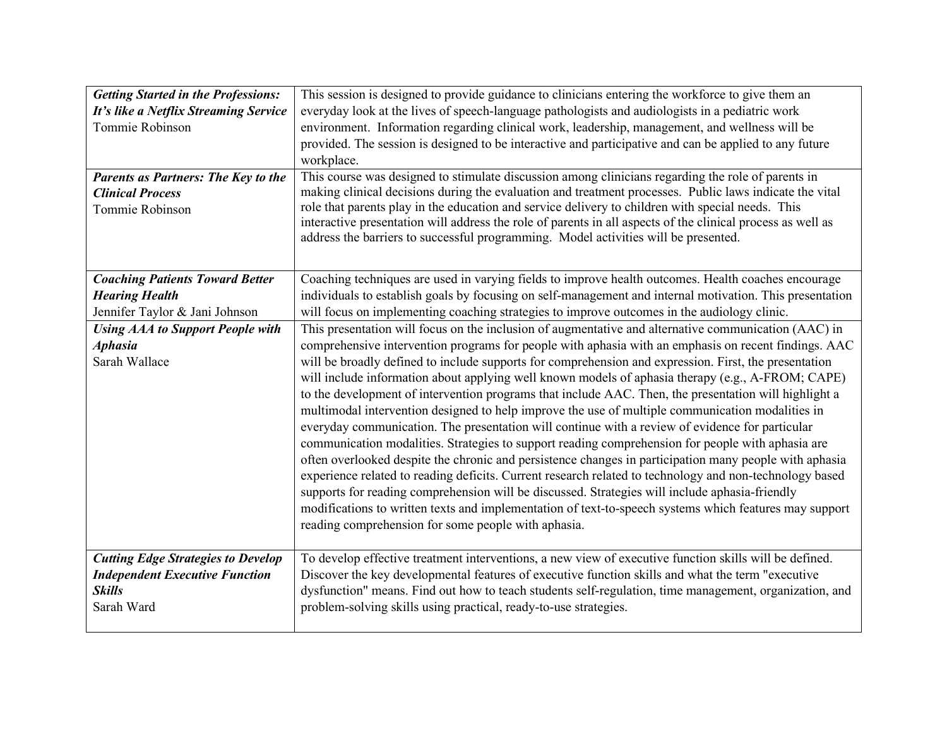| <b>Getting Started in the Professions:</b><br>It's like a Netflix Streaming Service<br>Tommie Robinson<br><b>Parents as Partners: The Key to the</b><br><b>Clinical Process</b><br>Tommie Robinson | This session is designed to provide guidance to clinicians entering the workforce to give them an<br>everyday look at the lives of speech-language pathologists and audiologists in a pediatric work<br>environment. Information regarding clinical work, leadership, management, and wellness will be<br>provided. The session is designed to be interactive and participative and can be applied to any future<br>workplace.<br>This course was designed to stimulate discussion among clinicians regarding the role of parents in<br>making clinical decisions during the evaluation and treatment processes. Public laws indicate the vital<br>role that parents play in the education and service delivery to children with special needs. This<br>interactive presentation will address the role of parents in all aspects of the clinical process as well as<br>address the barriers to successful programming. Model activities will be presented.                                                                                                                                                                                                                                                                                                                                                                                                                                                                                                                                                                                                                                                                                                |
|----------------------------------------------------------------------------------------------------------------------------------------------------------------------------------------------------|-----------------------------------------------------------------------------------------------------------------------------------------------------------------------------------------------------------------------------------------------------------------------------------------------------------------------------------------------------------------------------------------------------------------------------------------------------------------------------------------------------------------------------------------------------------------------------------------------------------------------------------------------------------------------------------------------------------------------------------------------------------------------------------------------------------------------------------------------------------------------------------------------------------------------------------------------------------------------------------------------------------------------------------------------------------------------------------------------------------------------------------------------------------------------------------------------------------------------------------------------------------------------------------------------------------------------------------------------------------------------------------------------------------------------------------------------------------------------------------------------------------------------------------------------------------------------------------------------------------------------------------------------------------|
| <b>Coaching Patients Toward Better</b><br><b>Hearing Health</b><br>Jennifer Taylor & Jani Johnson<br><b>Using AAA to Support People with</b><br><b>Aphasia</b><br>Sarah Wallace                    | Coaching techniques are used in varying fields to improve health outcomes. Health coaches encourage<br>individuals to establish goals by focusing on self-management and internal motivation. This presentation<br>will focus on implementing coaching strategies to improve outcomes in the audiology clinic.<br>This presentation will focus on the inclusion of augmentative and alternative communication (AAC) in<br>comprehensive intervention programs for people with aphasia with an emphasis on recent findings. AAC<br>will be broadly defined to include supports for comprehension and expression. First, the presentation<br>will include information about applying well known models of aphasia therapy (e.g., A-FROM; CAPE)<br>to the development of intervention programs that include AAC. Then, the presentation will highlight a<br>multimodal intervention designed to help improve the use of multiple communication modalities in<br>everyday communication. The presentation will continue with a review of evidence for particular<br>communication modalities. Strategies to support reading comprehension for people with aphasia are<br>often overlooked despite the chronic and persistence changes in participation many people with aphasia<br>experience related to reading deficits. Current research related to technology and non-technology based<br>supports for reading comprehension will be discussed. Strategies will include aphasia-friendly<br>modifications to written texts and implementation of text-to-speech systems which features may support<br>reading comprehension for some people with aphasia. |
| <b>Cutting Edge Strategies to Develop</b><br><b>Independent Executive Function</b><br><b>Skills</b><br>Sarah Ward                                                                                  | To develop effective treatment interventions, a new view of executive function skills will be defined.<br>Discover the key developmental features of executive function skills and what the term "executive<br>dysfunction" means. Find out how to teach students self-regulation, time management, organization, and<br>problem-solving skills using practical, ready-to-use strategies.                                                                                                                                                                                                                                                                                                                                                                                                                                                                                                                                                                                                                                                                                                                                                                                                                                                                                                                                                                                                                                                                                                                                                                                                                                                                 |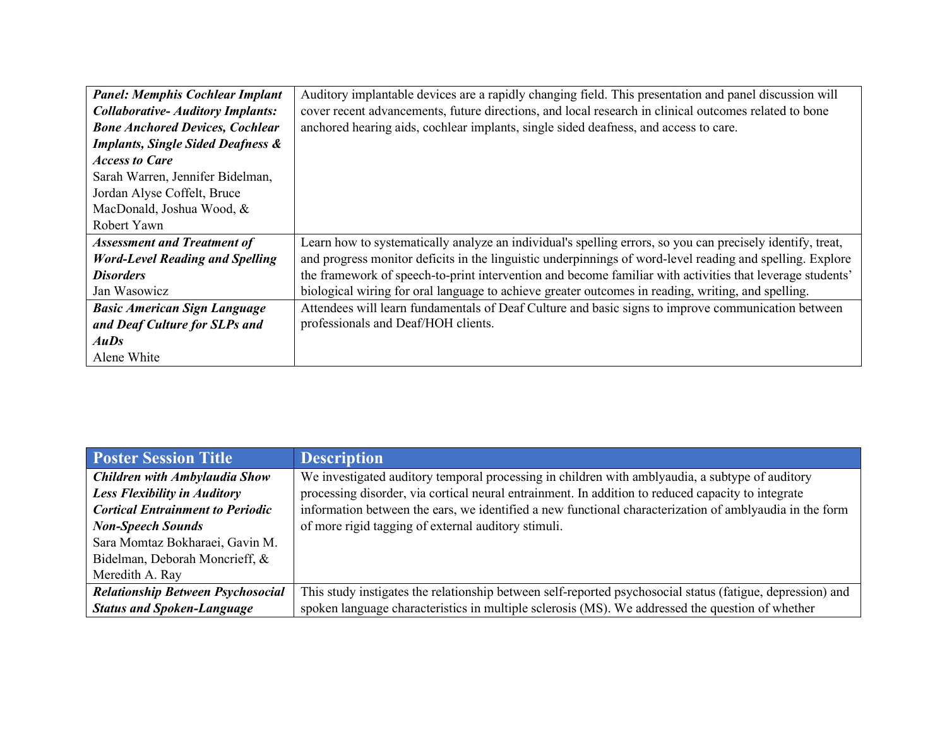| <b>Panel: Memphis Cochlear Implant</b>       | Auditory implantable devices are a rapidly changing field. This presentation and panel discussion will     |
|----------------------------------------------|------------------------------------------------------------------------------------------------------------|
| <b>Collaborative-Auditory Implants:</b>      | cover recent advancements, future directions, and local research in clinical outcomes related to bone      |
| <b>Bone Anchored Devices, Cochlear</b>       | anchored hearing aids, cochlear implants, single sided deafness, and access to care.                       |
| <b>Implants, Single Sided Deafness &amp;</b> |                                                                                                            |
| <b>Access to Care</b>                        |                                                                                                            |
| Sarah Warren, Jennifer Bidelman,             |                                                                                                            |
| Jordan Alyse Coffelt, Bruce                  |                                                                                                            |
| MacDonald, Joshua Wood, &                    |                                                                                                            |
| Robert Yawn                                  |                                                                                                            |
| <b>Assessment and Treatment of</b>           | Learn how to systematically analyze an individual's spelling errors, so you can precisely identify, treat, |
| <b>Word-Level Reading and Spelling</b>       | and progress monitor deficits in the linguistic underpinnings of word-level reading and spelling. Explore  |
| <b>Disorders</b>                             | the framework of speech-to-print intervention and become familiar with activities that leverage students'  |
| Jan Wasowicz                                 | biological wiring for oral language to achieve greater outcomes in reading, writing, and spelling.         |
| <b>Basic American Sign Language</b>          | Attendees will learn fundamentals of Deaf Culture and basic signs to improve communication between         |
| and Deaf Culture for SLPs and                | professionals and Deaf/HOH clients.                                                                        |
| AuDs                                         |                                                                                                            |
| Alene White                                  |                                                                                                            |

| <b>Poster Session Title</b>              | <b>Description</b>                                                                                         |
|------------------------------------------|------------------------------------------------------------------------------------------------------------|
| <b>Children with Ambylaudia Show</b>     | We investigated auditory temporal processing in children with amblyaudia, a subtype of auditory            |
| <b>Less Flexibility in Auditory</b>      | processing disorder, via cortical neural entrainment. In addition to reduced capacity to integrate         |
| <b>Cortical Entrainment to Periodic</b>  | information between the ears, we identified a new functional characterization of amblyaudia in the form    |
| <b>Non-Speech Sounds</b>                 | of more rigid tagging of external auditory stimuli.                                                        |
| Sara Momtaz Bokharaei, Gavin M.          |                                                                                                            |
| Bidelman, Deborah Moncrieff, &           |                                                                                                            |
| Meredith A. Ray                          |                                                                                                            |
| <b>Relationship Between Psychosocial</b> | This study instigates the relationship between self-reported psychosocial status (fatigue, depression) and |
| <b>Status and Spoken-Language</b>        | spoken language characteristics in multiple sclerosis (MS). We addressed the question of whether           |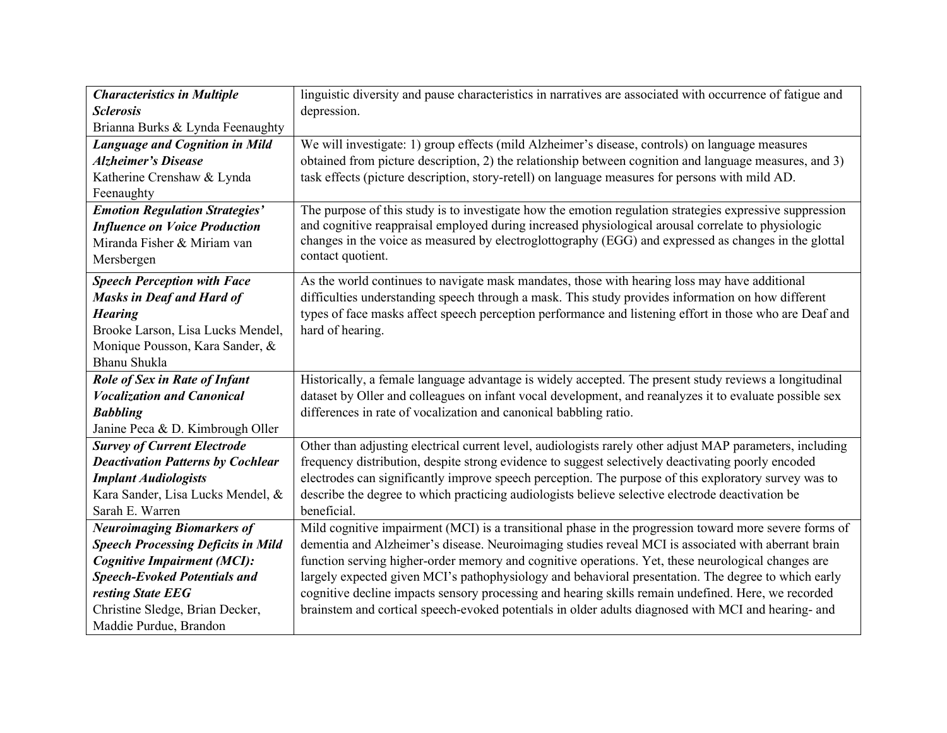| <b>Characteristics in Multiple</b>        | linguistic diversity and pause characteristics in narratives are associated with occurrence of fatigue and |
|-------------------------------------------|------------------------------------------------------------------------------------------------------------|
| <b>Sclerosis</b>                          | depression.                                                                                                |
| Brianna Burks & Lynda Feenaughty          |                                                                                                            |
| <b>Language and Cognition in Mild</b>     | We will investigate: 1) group effects (mild Alzheimer's disease, controls) on language measures            |
| <b>Alzheimer's Disease</b>                | obtained from picture description, 2) the relationship between cognition and language measures, and 3)     |
| Katherine Crenshaw & Lynda                | task effects (picture description, story-retell) on language measures for persons with mild AD.            |
| Feenaughty                                |                                                                                                            |
| <b>Emotion Regulation Strategies'</b>     | The purpose of this study is to investigate how the emotion regulation strategies expressive suppression   |
| <b>Influence on Voice Production</b>      | and cognitive reappraisal employed during increased physiological arousal correlate to physiologic         |
| Miranda Fisher & Miriam van               | changes in the voice as measured by electroglottography (EGG) and expressed as changes in the glottal      |
| Mersbergen                                | contact quotient.                                                                                          |
| <b>Speech Perception with Face</b>        | As the world continues to navigate mask mandates, those with hearing loss may have additional              |
| <b>Masks in Deaf and Hard of</b>          | difficulties understanding speech through a mask. This study provides information on how different         |
| <b>Hearing</b>                            | types of face masks affect speech perception performance and listening effort in those who are Deaf and    |
| Brooke Larson, Lisa Lucks Mendel,         | hard of hearing.                                                                                           |
| Monique Pousson, Kara Sander, &           |                                                                                                            |
| Bhanu Shukla                              |                                                                                                            |
| <b>Role of Sex in Rate of Infant</b>      | Historically, a female language advantage is widely accepted. The present study reviews a longitudinal     |
| <b>Vocalization and Canonical</b>         | dataset by Oller and colleagues on infant vocal development, and reanalyzes it to evaluate possible sex    |
| <b>Babbling</b>                           | differences in rate of vocalization and canonical babbling ratio.                                          |
| Janine Peca & D. Kimbrough Oller          |                                                                                                            |
| <b>Survey of Current Electrode</b>        | Other than adjusting electrical current level, audiologists rarely other adjust MAP parameters, including  |
| <b>Deactivation Patterns by Cochlear</b>  | frequency distribution, despite strong evidence to suggest selectively deactivating poorly encoded         |
| <b>Implant Audiologists</b>               | electrodes can significantly improve speech perception. The purpose of this exploratory survey was to      |
| Kara Sander, Lisa Lucks Mendel, &         | describe the degree to which practicing audiologists believe selective electrode deactivation be           |
| Sarah E. Warren                           | beneficial.                                                                                                |
| <b>Neuroimaging Biomarkers of</b>         | Mild cognitive impairment (MCI) is a transitional phase in the progression toward more severe forms of     |
| <b>Speech Processing Deficits in Mild</b> | dementia and Alzheimer's disease. Neuroimaging studies reveal MCI is associated with aberrant brain        |
| <b>Cognitive Impairment (MCI):</b>        | function serving higher-order memory and cognitive operations. Yet, these neurological changes are         |
| <b>Speech-Evoked Potentials and</b>       | largely expected given MCI's pathophysiology and behavioral presentation. The degree to which early        |
| resting State EEG                         | cognitive decline impacts sensory processing and hearing skills remain undefined. Here, we recorded        |
| Christine Sledge, Brian Decker,           | brainstem and cortical speech-evoked potentials in older adults diagnosed with MCI and hearing- and        |
| Maddie Purdue, Brandon                    |                                                                                                            |